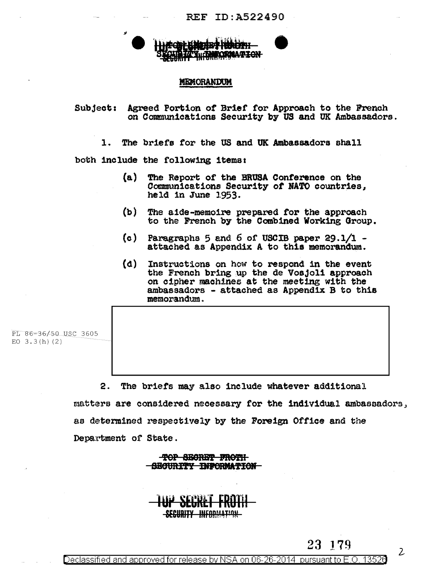

#### **MEMORANDUM**

Agreed Portion of Brief for Approach to the French **Subject:** on Communications Security by US and UK Ambassadors.

The briefs for the US and UK Ambassadors shall 1.

both include the following items:

- (a) The Report of the BRUSA Conference on the Communications Security of NATO countries, held in June 1953.
- $(b)$ The aide-memoire prepared for the approach to the French by the Combined Working Group.
- (c) Paragraphs 5 and 6 of USCIB paper 29.1/1 attached as Appendix A to this memorandum.
- (d) Instructions on how to respond in the event the French bring up the de Vosjoli approach on cipher machines at the meeting with the ambassadors - attached as Appendix B to this memorandum.

PL 86-36/50 USC 3605 EO  $3.3(h)(2)$ 

> 2. The briefs may also include whatever additional matters are considered necessary for the individual ambassadors, as determined respectively by the Foreign Office and the Department of State.

> > TOP SECRET FROTH SECURITY INFORMATION

<u>SECURITY INFORMATION</u>

Declassified and approved for release by NSA on 06-26-2014 pursuant to E.O. 13526

 $\mathcal{Z}$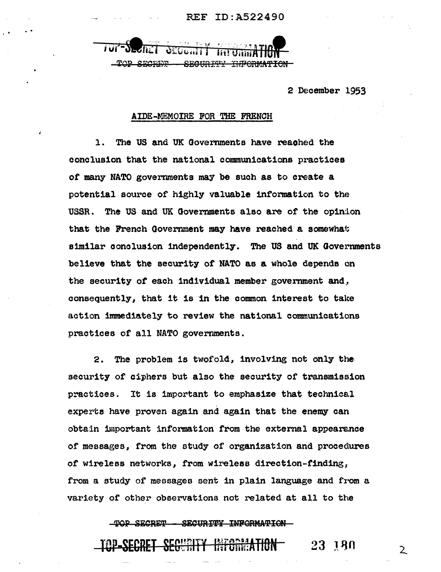TOP SECRET - SECURITY INFORMATION

2 December 1953

#### AIDE-MEMOIRE FOR THE FRENCH

 $\mathbf{1}$ . The US and UK Governments have reached the conclusion that the national communications practices of many NATO governments may be such as to create a potential source of highly valuable information to the USSR. The US and UK Governments also are of the opinion that the French Government may have reached a somewhat similar conclusion independently. The US and UK Governments believe that the security of NATO as a whole depends on the security of each individual member government and, consequently, that it is in the common interest to take action immediately to review the national communications practices of all NATO governments.

The problem is twofold, involving not only the  $2.$ security of ciphers but also the security of transmission practices. It is important to emphasize that technical experts have proven again and again that the enemy can obtain important information from the external appearance of messages, from the study of organization and procedures of wireless networks, from wireless direction-finding, from a study of messages sent in plain language and from a variety of other observations not related at all to the

TOP SECRET - SECURITY INFORMATION -

#### <del>INFORMATION -</del> 23 180

 $\mathsf{2}^{\mathsf{1}}$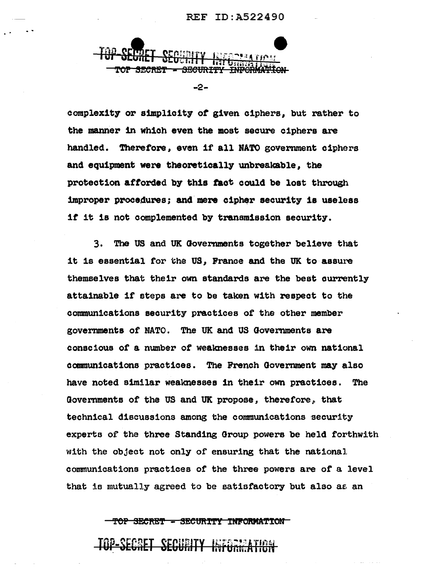

 $-2-$ 

complexity or simplicity of given ciphers, but rather to the manner in which even the most secure ciphers are handled. Therefore, even if all NATO government ciphers and equipment were theoretically unbreakable, the protection afforded by this fact could be lost through improper procedures; and mere cipher security is useless if it is not complemented by transmission security.

3. The US and UK Governments together believe that it is essential for the US, France and the UK to assure themselves that their own standards are the best currently attainable if steps are to be taken with respect to the communications security practices of the other member governments of NATO. The UK and US Governments are conscious of a number of weaknesses in their own national communications practices. The French Government may also have noted similar weaknesses in their own practices. The Governments of the US and UK propose, therefore, that technical discussions among the communications security experts of the three Standing Group powers be held forthwith with the object not only of ensuring that the national communications practices of the three powers are of a level that is mutually agreed to be satisfactory but also as an

TOP SECRET - SECURITY INFORMATION

## <u>TOP-SECRET SECURITY INFORMATION</u>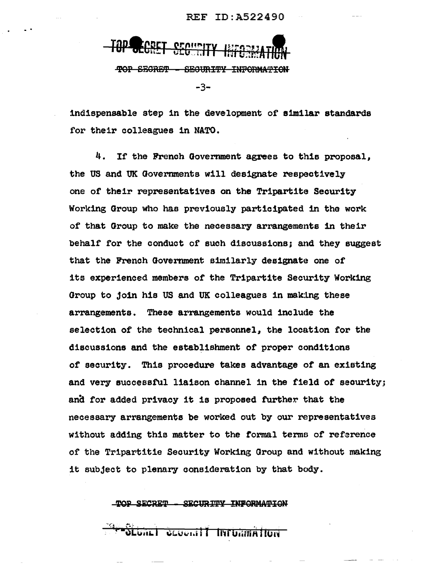TOP SECRET - SECURITY INFORMATION -3-

indispensable step in the development of similar standards for their colleagues in NATO.

4. If the French Government agrees to this proposal, the US and UK Governments will designate respectively one or their representatives on the Tripartite Security Working Group who has previously participated 1n the work of that Group to make the necessary arrangements in their behalf for the conduct of such discussions; and they suggest that the French Goverrunent similarly designate one of its experienced members or the Tripartite Security Working Group to join his US and UK colleagues in making these arrangements. These arrangements would include the selection of the technical personnel, the location for the discussions and the establishment of proper conditions of security. This procedure takes advantage *ot* an existing and very successful liaison channel in the field of security; and for added privacy it is proposed further that the necessary arrangements be worked out by our representatives without adding this matter to the tormal terms of reference of the Tr1partitie Security Working Group and without making it subject to plenary ooneideration by that body.

TOP SECRET - SECURITY INFORMATION

**Unit Amitutini Tlinouas Land**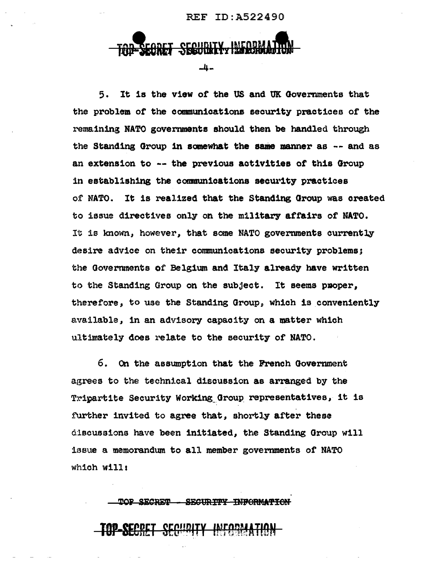## SECULLITY -4-

5. It is the view of the US and UK Governments that the problem *ot* the commun1cat1ons security practices or the remaining NATO governments should then be handled through the Standing Group in somewhat the same manner as  $-$ - and as an extension to -- the previous activities of this Group in establishing the communications security practices or NATO. It is realized that the Standing Group was created to issue directives only on the military affairs of NATO. It is lmown., however, that some NATO governments currently desire advice on their communications security problems; the Govermnents of Belgium and Italy already have written to the Standing Group on the subject. It seems proper, therefore, to use the Standing Group, which is conveniently available, in an advisory capaoity on a matter which ultimately does relate to the security of NATO.

6. On the assumption that the French Government agrees to the technical discussion as arranged by the Tripartite Security Working\_Qroup. representatives, it is further invited to agree that, shortly after these discussions have been initiated, the Standing Group will issue a memorandum to all member governments of NATO which wills

| TOP SECRET  | <del>-SECURITY INFORMATION</del>                                |  |
|-------------|-----------------------------------------------------------------|--|
| TUT OCUIL F | TAD_CE <u>PDET CEPHDITY INFODMATION</u><br>ocuenti in Uneri IVI |  |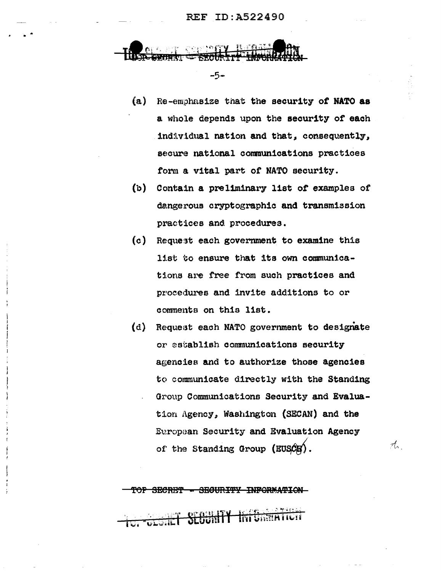$-5-$ 

- $(a)$ Re-emphasize that the security of NATO as a whole depends upon the security of each individual nation and that, consequently, secure national communications practices form a vital part of NATO security.
- $(b)$ Contain a preliminary list of examples of dangerous cryptographic and transmission practices and procedures.
- $(c)$ Request each government to examine this list to ensure that its own communications are free from such practices and procedures and invite additions to or comments on this list.
- Request each NATO government to designate  $(d)$ or establish communications security agencies and to authorize those agencies to communicate directly with the Standing Group Communications Security and Evaluation Agency, Washington (SECAN) and the European Security and Evaluation Agency of the Standing Group (EUSCE).

rt.

SECRET - SECURITY INFORMATION-